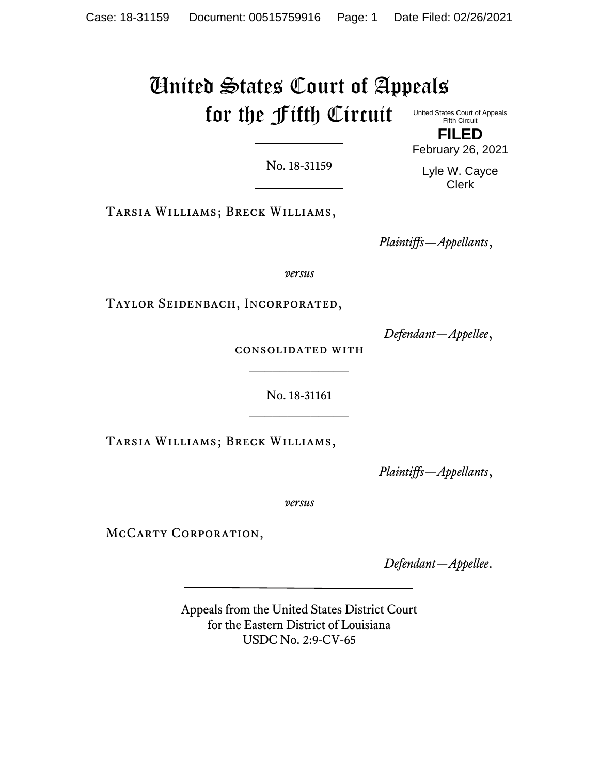# United States Court of Appeals for the Fifth Circuit United States Court of Appeals Fifth Circuit

No. 18-31159

Tarsia Williams; Breck Williams,

*Plaintiffs—Appellants*,

*versus*

Taylor Seidenbach, Incorporated,

*Defendant—Appellee*,

consolidated with  $\frac{1}{2}$ 

> No. 18-31161  $\frac{1}{2}$

Tarsia Williams; Breck Williams,

*Plaintiffs—Appellants*,

*versus*

MCCARTY CORPORATION,

*Defendant—Appellee*.

Appeals from the United States District Court for the Eastern District of Louisiana USDC No. 2:9-CV-65

Lyle W. Cayce Clerk

**FILED** February 26, 2021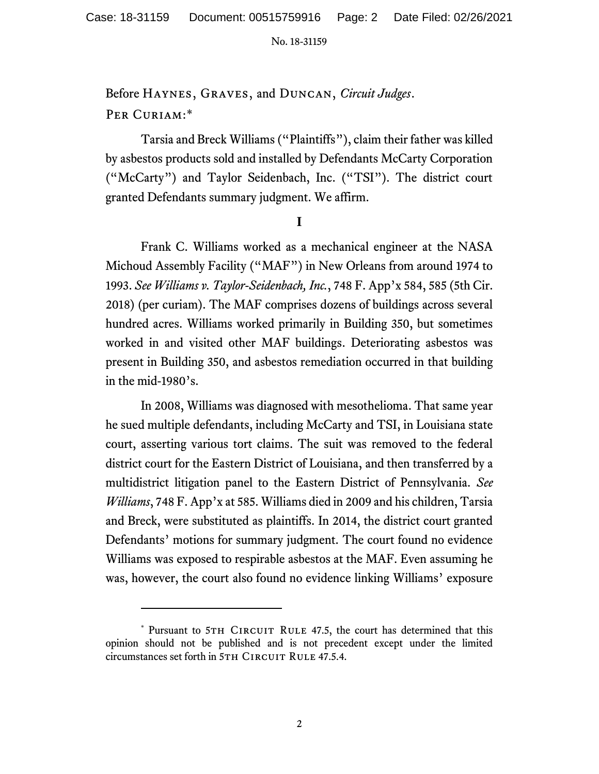Before Haynes, Graves, and Duncan, *Circuit Judges*. PER CURIAM:\*

Tarsia and Breck Williams ("Plaintiffs"), claim their father was killed by asbestos products sold and installed by Defendants McCarty Corporation ("McCarty") and Taylor Seidenbach, Inc. ("TSI"). The district court granted Defendants summary judgment. We affirm.

**I**

Frank C. Williams worked as a mechanical engineer at the NASA Michoud Assembly Facility ("MAF") in New Orleans from around 1974 to 1993. *See Williams v. Taylor-Seidenbach, Inc.*, 748 F. App'x 584, 585 (5th Cir. 2018) (per curiam). The MAF comprises dozens of buildings across several hundred acres. Williams worked primarily in Building 350, but sometimes worked in and visited other MAF buildings. Deteriorating asbestos was present in Building 350, and asbestos remediation occurred in that building in the mid-1980's.

In 2008, Williams was diagnosed with mesothelioma. That same year he sued multiple defendants, including McCarty and TSI, in Louisiana state court, asserting various tort claims. The suit was removed to the federal district court for the Eastern District of Louisiana, and then transferred by a multidistrict litigation panel to the Eastern District of Pennsylvania. *See Williams*, 748 F. App'x at 585. Williams died in 2009 and his children, Tarsia and Breck, were substituted as plaintiffs. In 2014, the district court granted Defendants' motions for summary judgment. The court found no evidence Williams was exposed to respirable asbestos at the MAF. Even assuming he was, however, the court also found no evidence linking Williams' exposure

<sup>\*</sup> Pursuant to 5TH CIRCUIT RULE 47.5, the court has determined that this opinion should not be published and is not precedent except under the limited circumstances set forth in 5TH CIRCUIT RULE 47.5.4.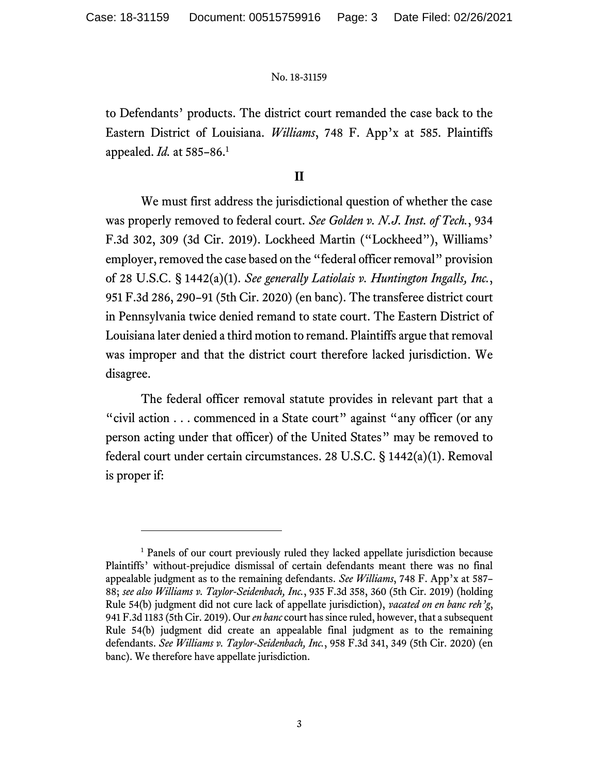to Defendants' products. The district court remanded the case back to the Eastern District of Louisiana. *Williams*, 748 F. App'x at 585. Plaintiffs appealed. *Id.* at 585–86.<sup>1</sup>

## **II**

We must first address the jurisdictional question of whether the case was properly removed to federal court. *See Golden v. N.J. Inst. of Tech.*, 934 F.3d 302, 309 (3d Cir. 2019). Lockheed Martin ("Lockheed"), Williams' employer, removed the case based on the "federal officer removal" provision of 28 U.S.C. § 1442(a)(1). *See generally Latiolais v. Huntington Ingalls, Inc.*, 951 F.3d 286, 290–91 (5th Cir. 2020) (en banc). The transferee district court in Pennsylvania twice denied remand to state court. The Eastern District of Louisiana later denied a third motion to remand. Plaintiffs argue that removal was improper and that the district court therefore lacked jurisdiction. We disagree.

The federal officer removal statute provides in relevant part that a "civil action . . . commenced in a State court" against "any officer (or any person acting under that officer) of the United States" may be removed to federal court under certain circumstances. 28 U.S.C. § 1442(a)(1). Removal is proper if:

<sup>&</sup>lt;sup>1</sup> Panels of our court previously ruled they lacked appellate jurisdiction because Plaintiffs' without-prejudice dismissal of certain defendants meant there was no final appealable judgment as to the remaining defendants. *See Williams*, 748 F. App'x at 587– 88; *see also Williams v. Taylor-Seidenbach, Inc.*, 935 F.3d 358, 360 (5th Cir. 2019) (holding Rule 54(b) judgment did not cure lack of appellate jurisdiction), *vacated on en banc reh'g*, 941 F.3d 1183 (5th Cir. 2019). Our *en banc* court has since ruled, however, that a subsequent Rule 54(b) judgment did create an appealable final judgment as to the remaining defendants. *See Williams v. Taylor-Seidenbach, Inc.*, 958 F.3d 341, 349 (5th Cir. 2020) (en banc). We therefore have appellate jurisdiction.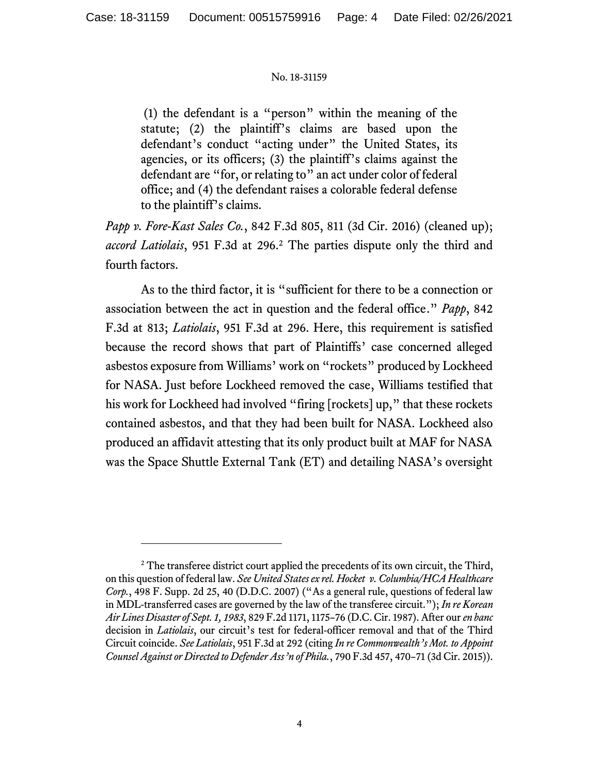(1) the defendant is a "person" within the meaning of the statute; (2) the plaintiff's claims are based upon the defendant's conduct "acting under" the United States, its agencies, or its officers; (3) the plaintiff's claims against the defendant are "for, or relating to" an act under color of federal office; and (4) the defendant raises a colorable federal defense to the plaintiff's claims.

*Papp v. Fore-Kast Sales Co.*, 842 F.3d 805, 811 (3d Cir. 2016) (cleaned up); *accord Latiolais*, 951 F.3d at 296. <sup>2</sup> The parties dispute only the third and fourth factors.

As to the third factor, it is "sufficient for there to be a connection or association between the act in question and the federal office." *Papp*, 842 F.3d at 813; *Latiolais*, 951 F.3d at 296. Here, this requirement is satisfied because the record shows that part of Plaintiffs' case concerned alleged asbestos exposure from Williams' work on "rockets" produced by Lockheed for NASA. Just before Lockheed removed the case, Williams testified that his work for Lockheed had involved "firing [rockets] up," that these rockets contained asbestos, and that they had been built for NASA. Lockheed also produced an affidavit attesting that its only product built at MAF for NASA was the Space Shuttle External Tank (ET) and detailing NASA's oversight

<sup>&</sup>lt;sup>2</sup> The transferee district court applied the precedents of its own circuit, the Third, on this question of federal law. *See United States ex rel. Hocket v. Columbia/HCA Healthcare Corp.*, 498 F. Supp. 2d 25, 40 (D.D.C. 2007) ("As a general rule, questions of federal law in MDL-transferred cases are governed by the law of the transferee circuit."); *In re Korean Air Lines Disaster of Sept. 1, 1983*, 829 F.2d 1171, 1175–76 (D.C. Cir. 1987). After our *en banc* decision in *Latiolais*, our circuit's test for federal-officer removal and that of the Third Circuit coincide. *See Latiolais*, 951 F.3d at 292 (citing *In re Commonwealth's Mot. to Appoint Counsel Against or Directed to Defender Ass'n of Phila.*, 790 F.3d 457, 470–71 (3d Cir. 2015)).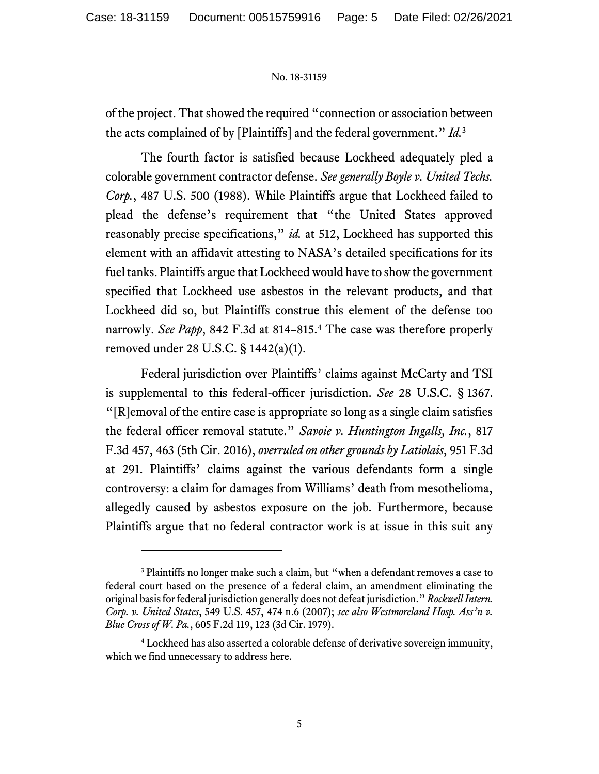of the project. That showed the required "connection or association between the acts complained of by [Plaintiffs] and the federal government." *Id.*<sup>3</sup>

The fourth factor is satisfied because Lockheed adequately pled a colorable government contractor defense. *See generally Boyle v. United Techs. Corp.*, 487 U.S. 500 (1988). While Plaintiffs argue that Lockheed failed to plead the defense's requirement that "the United States approved reasonably precise specifications," *id.* at 512, Lockheed has supported this element with an affidavit attesting to NASA's detailed specifications for its fuel tanks. Plaintiffs argue that Lockheed would have to show the government specified that Lockheed use asbestos in the relevant products, and that Lockheed did so, but Plaintiffs construe this element of the defense too narrowly. *See Papp*, 842 F.3d at 814–815. <sup>4</sup> The case was therefore properly removed under 28 U.S.C. § 1442(a)(1).

Federal jurisdiction over Plaintiffs' claims against McCarty and TSI is supplemental to this federal-officer jurisdiction. *See* 28 U.S.C. § 1367. "[R]emoval of the entire case is appropriate so long as a single claim satisfies the federal officer removal statute." *Savoie v. Huntington Ingalls, Inc.*, 817 F.3d 457, 463 (5th Cir. 2016), *overruled on other grounds by Latiolais*, 951 F.3d at 291. Plaintiffs' claims against the various defendants form a single controversy: a claim for damages from Williams' death from mesothelioma, allegedly caused by asbestos exposure on the job. Furthermore, because Plaintiffs argue that no federal contractor work is at issue in this suit any

<sup>&</sup>lt;sup>3</sup> Plaintiffs no longer make such a claim, but "when a defendant removes a case to federal court based on the presence of a federal claim, an amendment eliminating the original basis for federal jurisdiction generally does not defeat jurisdiction." *Rockwell Intern. Corp. v. United States*, 549 U.S. 457, 474 n.6 (2007); *see also Westmoreland Hosp. Ass'n v. Blue Cross of W. Pa.*, 605 F.2d 119, 123 (3d Cir. 1979).

<sup>4</sup> Lockheed has also asserted a colorable defense of derivative sovereign immunity, which we find unnecessary to address here.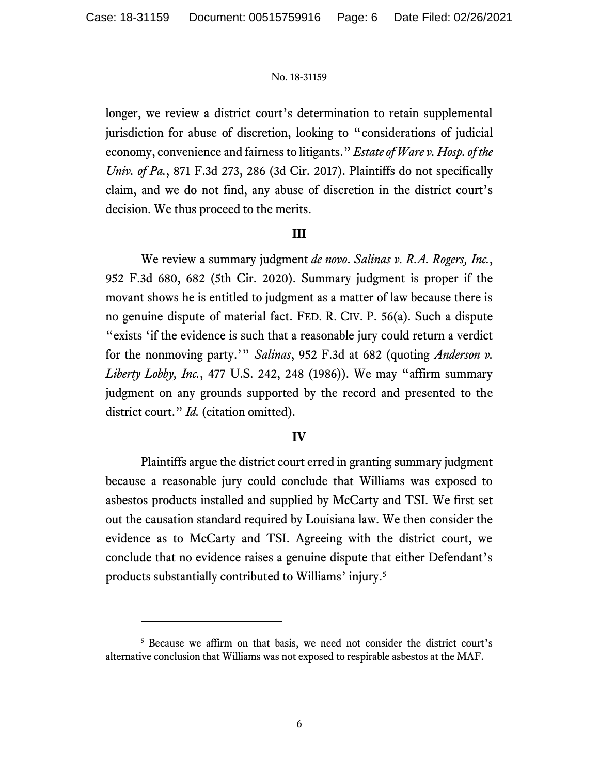longer, we review a district court's determination to retain supplemental jurisdiction for abuse of discretion, looking to "considerations of judicial economy, convenience and fairnessto litigants." *Estate of Ware v. Hosp. of the Univ. of Pa.*, 871 F.3d 273, 286 (3d Cir. 2017). Plaintiffs do not specifically claim, and we do not find, any abuse of discretion in the district court's decision. We thus proceed to the merits.

## **III**

We review a summary judgment *de novo*. *Salinas v. R.A. Rogers, Inc.*, 952 F.3d 680, 682 (5th Cir. 2020). Summary judgment is proper if the movant shows he is entitled to judgment as a matter of law because there is no genuine dispute of material fact. FED. R. CIV. P. 56(a). Such a dispute "exists 'if the evidence is such that a reasonable jury could return a verdict for the nonmoving party.'" *Salinas*, 952 F.3d at 682 (quoting *Anderson v. Liberty Lobby, Inc.*, 477 U.S. 242, 248 (1986)). We may "affirm summary judgment on any grounds supported by the record and presented to the district court." *Id.* (citation omitted).

### **IV**

Plaintiffs argue the district court erred in granting summary judgment because a reasonable jury could conclude that Williams was exposed to asbestos products installed and supplied by McCarty and TSI. We first set out the causation standard required by Louisiana law. We then consider the evidence as to McCarty and TSI. Agreeing with the district court, we conclude that no evidence raises a genuine dispute that either Defendant's products substantially contributed to Williams' injury.<sup>5</sup>

<sup>5</sup> Because we affirm on that basis, we need not consider the district court's alternative conclusion that Williams was not exposed to respirable asbestos at the MAF.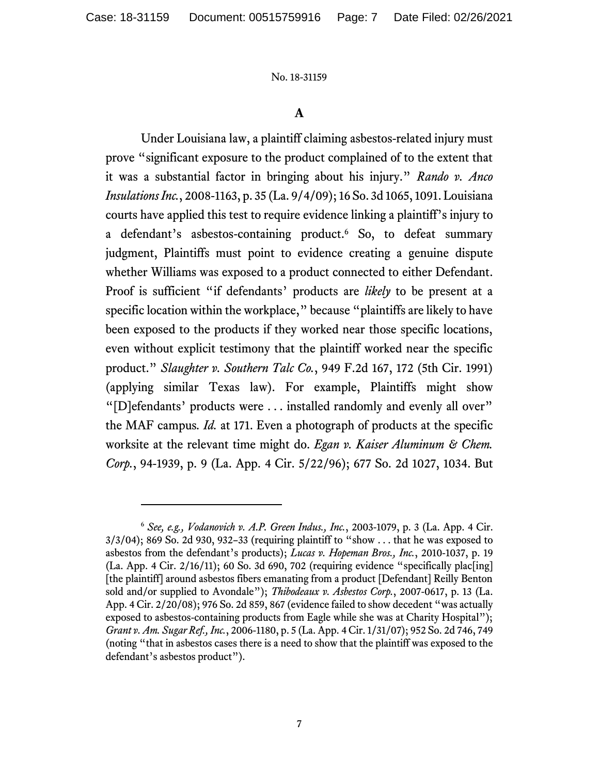### **A**

Under Louisiana law, a plaintiff claiming asbestos-related injury must prove "significant exposure to the product complained of to the extent that it was a substantial factor in bringing about his injury." *Rando v. Anco Insulations Inc.*, 2008-1163, p. 35 (La. 9/4/09); 16 So. 3d 1065, 1091. Louisiana courts have applied this test to require evidence linking a plaintiff's injury to a defendant's asbestos-containing product.<sup>6</sup> So, to defeat summary judgment, Plaintiffs must point to evidence creating a genuine dispute whether Williams was exposed to a product connected to either Defendant. Proof is sufficient "if defendants' products are *likely* to be present at a specific location within the workplace," because "plaintiffs are likely to have been exposed to the products if they worked near those specific locations, even without explicit testimony that the plaintiff worked near the specific product." *Slaughter v. Southern Talc Co.*, 949 F.2d 167, 172 (5th Cir. 1991) (applying similar Texas law). For example, Plaintiffs might show "[D]efendants' products were . . . installed randomly and evenly all over" the MAF campus*. Id.* at 171. Even a photograph of products at the specific worksite at the relevant time might do. *Egan v. Kaiser Aluminum & Chem. Corp.*, 94-1939, p. 9 (La. App. 4 Cir. 5/22/96); 677 So. 2d 1027, 1034. But

<sup>6</sup> *See, e.g., Vodanovich v. A.P. Green Indus., Inc.*, 2003-1079, p. 3 (La. App. 4 Cir.  $3/3/04$ ; 869 So. 2d 930, 932–33 (requiring plaintiff to "show ... that he was exposed to asbestos from the defendant's products); *Lucas v. Hopeman Bros., Inc.*, 2010-1037, p. 19  $(La. App. 4 Cir. 2/16/11); 60 So. 3d 690, 702 (requiring evidence "specifically placling]$ [the plaintiff] around asbestos fibers emanating from a product [Defendant] Reilly Benton sold and/or supplied to Avondale"); *Thibodeaux v. Asbestos Corp.*, 2007-0617, p. 13 (La. App. 4 Cir. 2/20/08); 976 So. 2d 859, 867 (evidence failed to show decedent "was actually exposed to asbestos-containing products from Eagle while she was at Charity Hospital"); *Grant v. Am. Sugar Ref., Inc.*, 2006-1180, p. 5 (La. App. 4 Cir. 1/31/07); 952 So. 2d 746, 749 (noting "that in asbestos cases there is a need to show that the plaintiff was exposed to the defendant's asbestos product").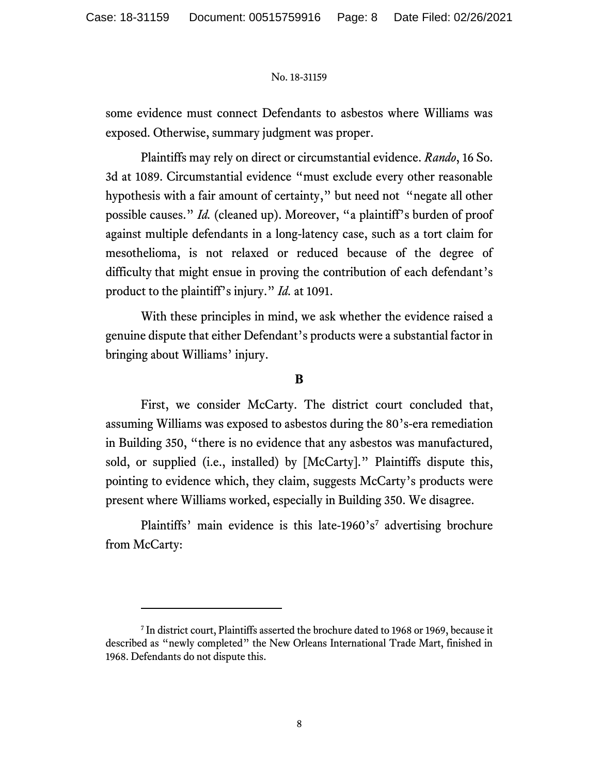some evidence must connect Defendants to asbestos where Williams was exposed. Otherwise, summary judgment was proper.

Plaintiffs may rely on direct or circumstantial evidence. *Rando*, 16 So. 3d at 1089. Circumstantial evidence "must exclude every other reasonable hypothesis with a fair amount of certainty," but need not "negate all other possible causes." *Id.* (cleaned up). Moreover, "a plaintiff's burden of proof against multiple defendants in a long-latency case, such as a tort claim for mesothelioma, is not relaxed or reduced because of the degree of difficulty that might ensue in proving the contribution of each defendant's product to the plaintiff's injury." *Id.* at 1091.

With these principles in mind, we ask whether the evidence raised a genuine dispute that either Defendant's products were a substantial factor in bringing about Williams' injury.

### **B**

First, we consider McCarty. The district court concluded that, assuming Williams was exposed to asbestos during the 80's-era remediation in Building 350, "there is no evidence that any asbestos was manufactured, sold, or supplied (i.e., installed) by [McCarty]." Plaintiffs dispute this, pointing to evidence which, they claim, suggests McCarty's products were present where Williams worked, especially in Building 350. We disagree.

Plaintiffs' main evidence is this late-1960's<sup>7</sup> advertising brochure from McCarty:

<sup>7</sup> In district court, Plaintiffs asserted the brochure dated to 1968 or 1969, because it described as "newly completed" the New Orleans International Trade Mart, finished in 1968. Defendants do not dispute this.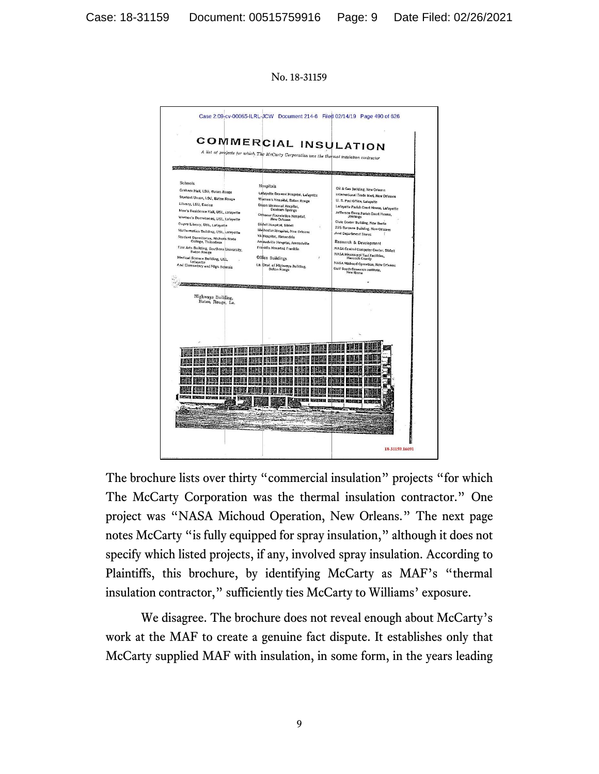No. 18-31159



The brochure lists over thirty "commercial insulation" projects "for which The McCarty Corporation was the thermal insulation contractor." One project was "NASA Michoud Operation, New Orleans." The next page notes McCarty "is fully equipped for spray insulation," although it does not specify which listed projects, if any, involved spray insulation. According to Plaintiffs, this brochure, by identifying McCarty as MAF's "thermal insulation contractor," sufficiently ties McCarty to Williams' exposure.

We disagree. The brochure does not reveal enough about McCarty's work at the MAF to create a genuine fact dispute. It establishes only that McCarty supplied MAF with insulation, in some form, in the years leading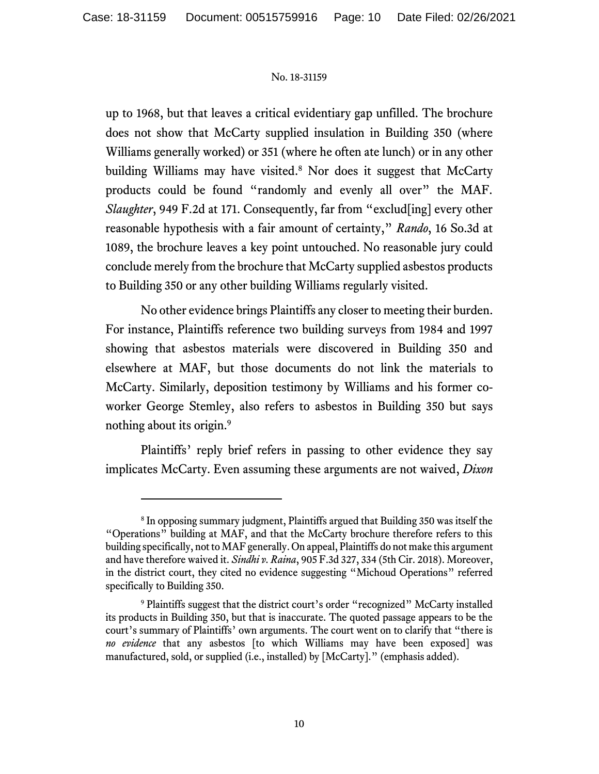up to 1968, but that leaves a critical evidentiary gap unfilled. The brochure does not show that McCarty supplied insulation in Building 350 (where Williams generally worked) or 351 (where he often ate lunch) or in any other building Williams may have visited. <sup>8</sup> Nor does it suggest that McCarty products could be found "randomly and evenly all over" the MAF. *Slaughter*, 949 F.2d at 171. Consequently, far from "exclud[ing] every other reasonable hypothesis with a fair amount of certainty," *Rando*, 16 So.3d at 1089, the brochure leaves a key point untouched. No reasonable jury could conclude merely from the brochure that McCarty supplied asbestos products to Building 350 or any other building Williams regularly visited.

No other evidence brings Plaintiffs any closer to meeting their burden. For instance, Plaintiffs reference two building surveys from 1984 and 1997 showing that asbestos materials were discovered in Building 350 and elsewhere at MAF, but those documents do not link the materials to McCarty. Similarly, deposition testimony by Williams and his former coworker George Stemley, also refers to asbestos in Building 350 but says nothing about its origin. 9

Plaintiffs' reply brief refers in passing to other evidence they say implicates McCarty. Even assuming these arguments are not waived, *Dixon* 

<sup>&</sup>lt;sup>8</sup> In opposing summary judgment, Plaintiffs argued that Building 350 was itself the "Operations" building at MAF, and that the McCarty brochure therefore refers to this building specifically, not to MAF generally. On appeal, Plaintiffs do not make this argument and have therefore waived it. *Sindhi v. Raina*, 905 F.3d 327, 334 (5th Cir. 2018). Moreover, in the district court, they cited no evidence suggesting "Michoud Operations" referred specifically to Building 350.

<sup>&</sup>lt;sup>9</sup> Plaintiffs suggest that the district court's order "recognized" McCarty installed its products in Building 350, but that is inaccurate. The quoted passage appears to be the court's summary of Plaintiffs' own arguments. The court went on to clarify that "there is *no evidence* that any asbestos [to which Williams may have been exposed] was manufactured, sold, or supplied (i.e., installed) by [McCarty]." (emphasis added).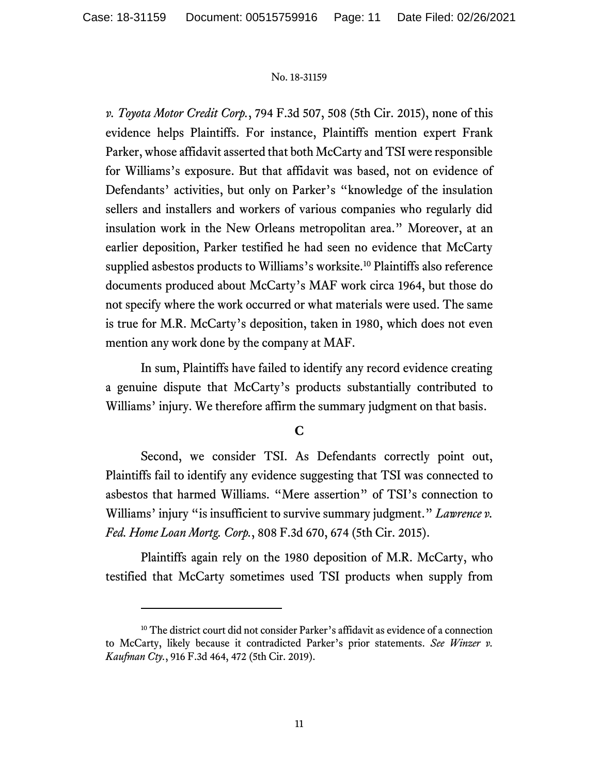*v. Toyota Motor Credit Corp.*, 794 F.3d 507, 508 (5th Cir. 2015), none of this evidence helps Plaintiffs. For instance, Plaintiffs mention expert Frank Parker, whose affidavit asserted that both McCarty and TSI were responsible for Williams's exposure. But that affidavit was based, not on evidence of Defendants' activities, but only on Parker's "knowledge of the insulation sellers and installers and workers of various companies who regularly did insulation work in the New Orleans metropolitan area." Moreover, at an earlier deposition, Parker testified he had seen no evidence that McCarty supplied asbestos products to Williams's worksite.<sup>10</sup> Plaintiffs also reference documents produced about McCarty's MAF work circa 1964, but those do not specify where the work occurred or what materials were used. The same is true for M.R. McCarty's deposition, taken in 1980, which does not even mention any work done by the company at MAF.

In sum, Plaintiffs have failed to identify any record evidence creating a genuine dispute that McCarty's products substantially contributed to Williams' injury. We therefore affirm the summary judgment on that basis.

# **C**

Second, we consider TSI. As Defendants correctly point out, Plaintiffs fail to identify any evidence suggesting that TSI was connected to asbestos that harmed Williams. "Mere assertion" of TSI's connection to Williams' injury "is insufficient to survive summary judgment." *Lawrence v. Fed. Home Loan Mortg. Corp.*, 808 F.3d 670, 674 (5th Cir. 2015).

Plaintiffs again rely on the 1980 deposition of M.R. McCarty, who testified that McCarty sometimes used TSI products when supply from

<sup>&</sup>lt;sup>10</sup> The district court did not consider Parker's affidavit as evidence of a connection to McCarty, likely because it contradicted Parker's prior statements. *See Winzer v. Kaufman Cty.*, 916 F.3d 464, 472 (5th Cir. 2019).